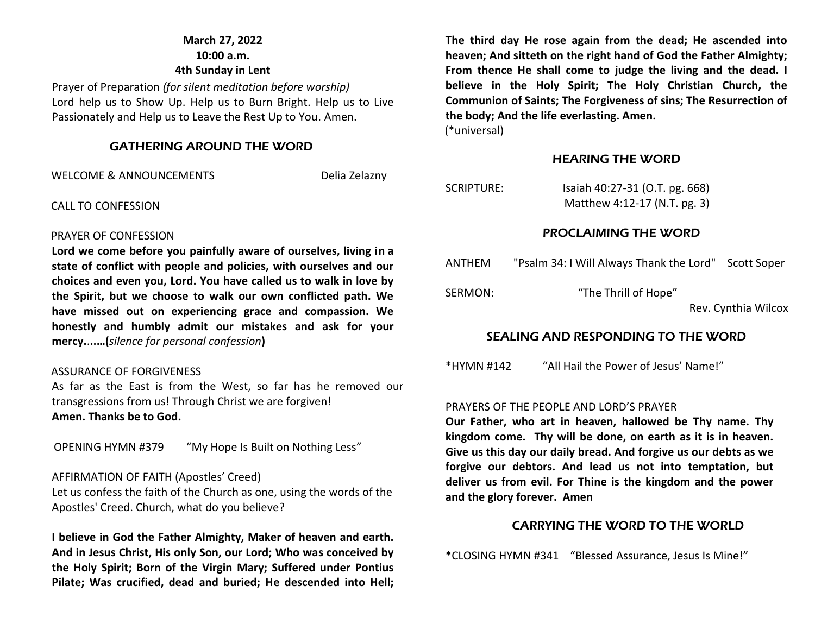# **March 27, 2022 10:00 a.m. 4th Sunday in Lent**

Prayer of Preparation *(for silent meditation before worship)* Lord help us to Show Up. Help us to Burn Bright. Help us to Live Passionately and Help us to Leave the Rest Up to You. Amen.

#### GATHERING AROUND THE WORD

WELCOME & ANNOUNCEMENTS THE RESERVING DELIA ZELAZNY

CALL TO CONFESSION

#### PRAYER OF CONFESSION

**Lord we come before you painfully aware of ourselves, living in a state of conflict with people and policies, with ourselves and our choices and even you, Lord. You have called us to walk in love by the Spirit, but we choose to walk our own conflicted path. We have missed out on experiencing grace and compassion. We honestly and humbly admit our mistakes and ask for your mercy.**.**..…(***silence for personal confession***)**

#### ASSURANCE OF FORGIVENESS

As far as the East is from the West, so far has he removed our transgressions from us! Through Christ we are forgiven! **Amen. Thanks be to God.**

OPENING HYMN #379 "My Hope Is Built on Nothing Less"

#### AFFIRMATION OF FAITH (Apostles' Creed)

Let us confess the faith of the Church as one, using the words of the Apostles' Creed. Church, what do you believe?

**I believe in God the Father Almighty, Maker of heaven and earth. And in Jesus Christ, His only Son, our Lord; Who was conceived by the Holy Spirit; Born of the Virgin Mary; Suffered under Pontius Pilate; Was crucified, dead and buried; He descended into Hell;** 

**The third day He rose again from the dead; He ascended into heaven; And sitteth on the right hand of God the Father Almighty; From thence He shall come to judge the living and the dead. I believe in the Holy Spirit; The Holy Christian Church, the Communion of Saints; The Forgiveness of sins; The Resurrection of the body; And the life everlasting. Amen.**

(\*universal)

#### HEARING THE WORD

# SCRIPTURE: Isaiah 40:27-31 (O.T. pg. 668)

Matthew 4:12-17 (N.T. pg. 3)

#### PROCLAIMING THE WORD

| ANTHEM  | "Psalm 34: I Will Always Thank the Lord" | Scott Soper         |
|---------|------------------------------------------|---------------------|
| SERMON: | "The Thrill of Hope"                     |                     |
|         |                                          | Rev. Cynthia Wilcox |

#### SEALING AND RESPONDING TO THE WORD

\*HYMN #142 "All Hail the Power of Jesus' Name!"

#### PRAYERS OF THE PEOPLE AND LORD'S PRAYER

**Our Father, who art in heaven, hallowed be Thy name. Thy kingdom come. Thy will be done, on earth as it is in heaven. Give us this day our daily bread. And forgive us our debts as we forgive our debtors. And lead us not into temptation, but deliver us from evil. For Thine is the kingdom and the power and the glory forever. Amen**

#### CARRYING THE WORD TO THE WORLD

\*CLOSING HYMN #341 "Blessed Assurance, Jesus Is Mine!"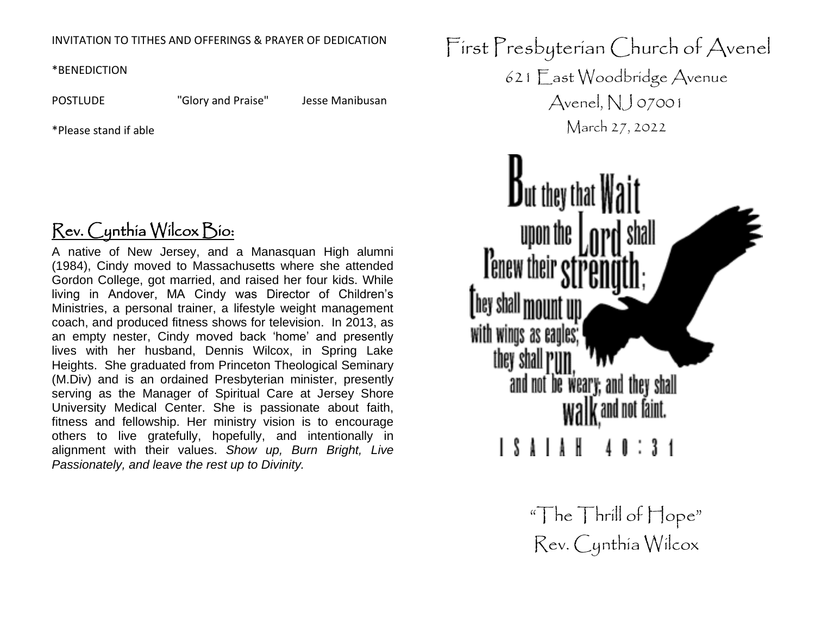## INVITATION TO TITHES AND OFFERINGS & PRAYER OF DEDICATION

\*BENEDICTION

POSTLUDE "Glory and Praise" Jesse Manibusan

\*Please stand if able

# Rev. Cynthia Wilcox Bio:

A native of New Jersey, and a Manasquan High alumni (1984), Cindy moved to Massachusetts where she attended Gordon College, got married, and raised her four kids. While living in Andover, MA Cindy was Director of Children's Ministries, a personal trainer, a lifestyle weight management coach, and produced fitness shows for television. In 2013, as an empty nester, Cindy moved back 'home' and presently lives with her husband, Dennis Wilcox, in Spring Lake Heights. She graduated from Princeton Theological Seminary (M.Div) and is an ordained Presbyterian minister, presently serving as the Manager of Spiritual Care at Jersey Shore University Medical Center. She is passionate about faith, fitness and fellowship. Her ministry vision is to encourage others to live gratefully, hopefully, and intentionally in alignment with their values. *Show up, Burn Bright, Live Passionately, and leave the rest up to Divinity.*

First Presbyterian Church of Avenel 621 East Woodbridge Avenue Avenel,  $NJ$  07001 March 27, 2022  $\mathbf{B}_{\text{ut they that}}$ upon the **Tenew their** with winds as eagle they shall and not be weary; and they shall walk and not faint.

> "The Thrill of Hope" Rev. Cynthia Wilcox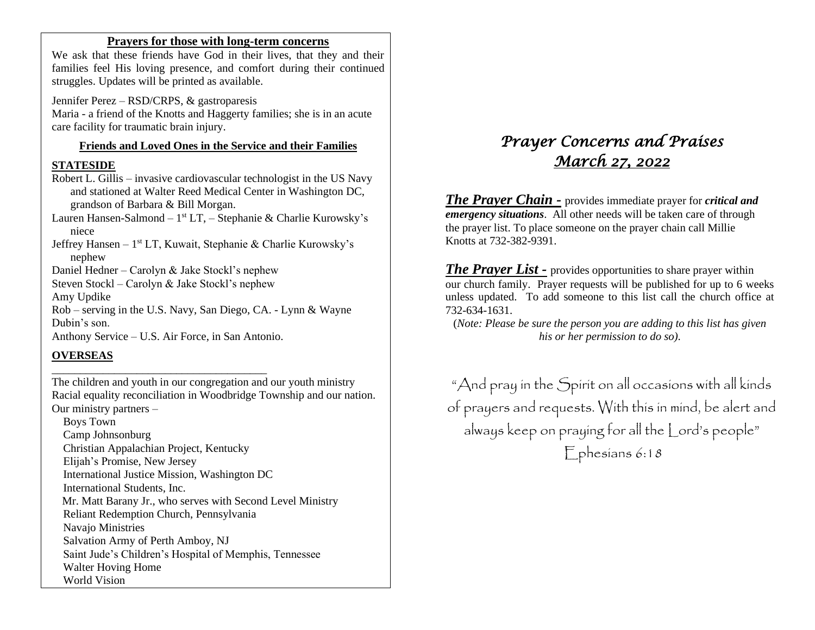#### **Prayers for those with long-term concerns**

We ask that these friends have God in their lives, that they and their families feel His loving presence, and comfort during their continued struggles. Updates will be printed as available.

Jennifer Perez – RSD/CRPS, & gastroparesis Maria - a friend of the Knotts and Haggerty families; she is in an acute care facility for traumatic brain injury.

#### **Friends and Loved Ones in the Service and their Families**

#### **STATESIDE**

Robert L. Gillis – invasive cardiovascular technologist in the US Navy and stationed at Walter Reed Medical Center in Washington DC, grandson of Barbara & Bill Morgan.

Lauren Hansen-Salmond – 1<sup>st</sup> LT, – Stephanie & Charlie Kurowsky's niece

Jeffrey Hansen - 1<sup>st</sup> LT, Kuwait, Stephanie & Charlie Kurowsky's nephew

Daniel Hedner – Carolyn & Jake Stockl's nephew

Steven Stockl – Carolyn & Jake Stockl's nephew

Amy Updike

Rob – serving in the U.S. Navy, San Diego, CA. - Lynn & Wayne Dubin's son.

Anthony Service – U.S. Air Force, in San Antonio.

\_\_\_\_\_\_\_\_\_\_\_\_\_\_\_\_\_\_\_\_\_\_\_\_\_\_\_\_\_\_\_\_\_\_\_\_\_\_

#### **OVERSEAS**

The children and youth in our congregation and our youth ministry Racial equality reconciliation in Woodbridge Township and our nation. Our ministry partners –

 Boys Town Camp Johnsonburg Christian Appalachian Project, Kentucky Elijah's Promise, New Jersey International Justice Mission, Washington DC International Students, Inc. Mr. Matt Barany Jr., who serves with Second Level Ministry Reliant Redemption Church, Pennsylvania Navajo Ministries Salvation Army of Perth Amboy, NJ Saint Jude's Children's Hospital of Memphis, Tennessee Walter Hoving Home World Vision

# *Prayer Concerns and Praises March 27, 2022*

*The Prayer Chain -* provides immediate prayer for *critical and emergency situations*. All other needs will be taken care of through the prayer list. To place someone on the prayer chain call Millie Knotts at 732-382-9391.

*The Prayer List -* provides opportunities to share prayer within our church family. Prayer requests will be published for up to 6 weeks unless updated. To add someone to this list call the church office at 732-634-1631.

(*Note: Please be sure the person you are adding to this list has given his or her permission to do so).*

"And pray in the Spirit on all occasions with all kinds of prayers and requests. With this in mind, be alert and always keep on praying for all the Lord's people" Ephesians 6:18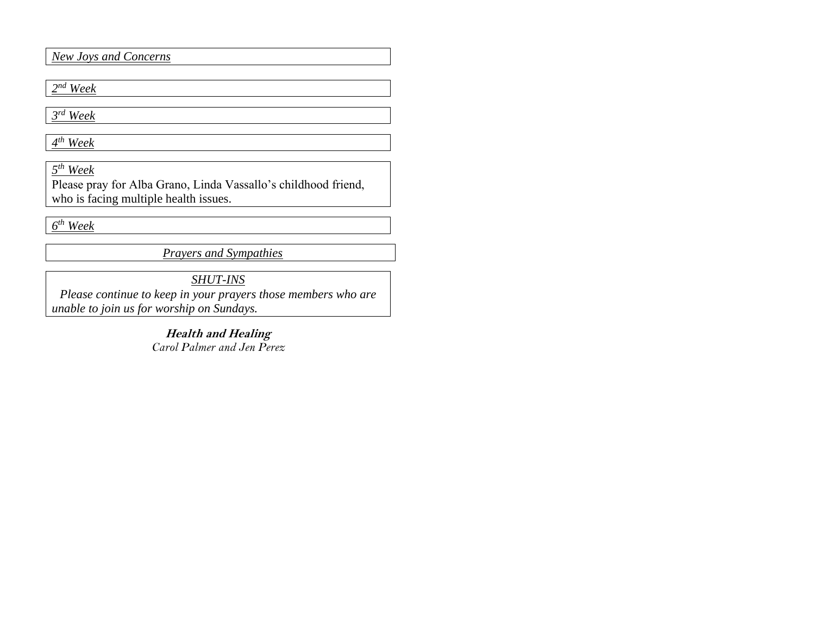*New Joys and Concerns*

*2 nd Week*

*3 rd Week*

*4 th Week*

*5 th Week*

Please pray for Alba Grano, Linda Vassallo's childhood friend, who is facing multiple health issues.

*6 th Week* 

*Prayers and Sympathies*

*SHUT-INS*

*Please continue to keep in your prayers those members who are unable to join us for worship on Sundays.* 

> **Health and Healing** *Carol Palmer and Jen Perez*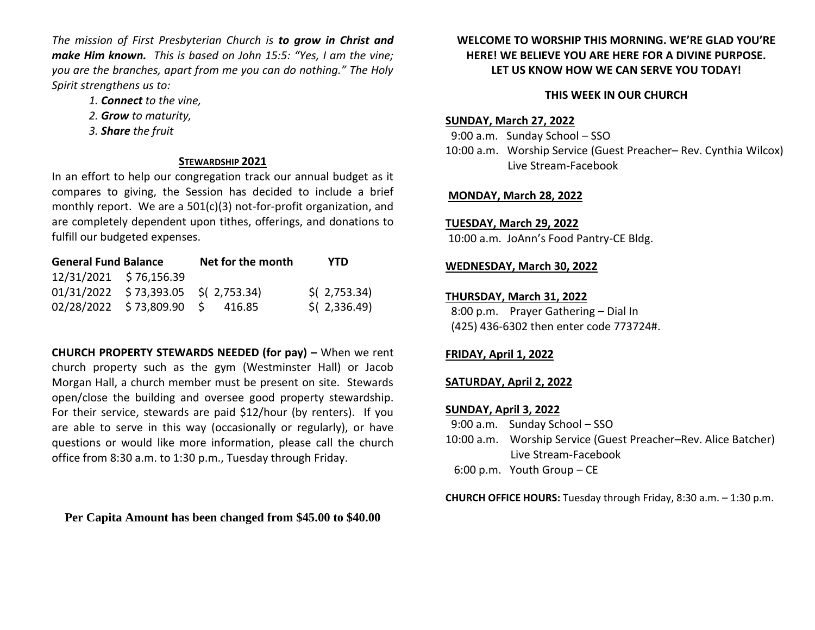*The mission of First Presbyterian Church is to grow in Christ and make Him known. This is based on John 15:5: "Yes, I am the vine; you are the branches, apart from me you can do nothing." The Holy Spirit strengthens us to:* 

- *1. Connect to the vine,*
- *2. Grow to maturity,*
- *3. Share the fruit*

#### **STEWARDSHIP 2021**

In an effort to help our congregation track our annual budget as it compares to giving, the Session has decided to include a brief monthly report. We are a 501(c)(3) not-for-profit organization, and are completely dependent upon tithes, offerings, and donations to fulfill our budgeted expenses.

| <b>General Fund Balance</b> |                                       | Net for the month | YTD            |
|-----------------------------|---------------------------------------|-------------------|----------------|
| 12/31/2021 \$76,156.39      |                                       |                   |                |
|                             | $01/31/2022$ \$73,393.05 \$(2,753.34) |                   | $$$ (2,753.34) |
|                             | 02/28/2022 \$73,809.90 \$ 416.85      |                   | $$$ (2,336.49) |

**CHURCH PROPERTY STEWARDS NEEDED (for pay) –** When we rent church property such as the gym (Westminster Hall) or Jacob Morgan Hall, a church member must be present on site. Stewards open/close the building and oversee good property stewardship. For their service, stewards are paid \$12/hour (by renters). If you are able to serve in this way (occasionally or regularly), or have questions or would like more information, please call the church office from 8:30 a.m. to 1:30 p.m., Tuesday through Friday.

**Per Capita Amount has been changed from \$45.00 to \$40.00**

## **WELCOME TO WORSHIP THIS MORNING. WE'RE GLAD YOU'RE HERE! WE BELIEVE YOU ARE HERE FOR A DIVINE PURPOSE. LET US KNOW HOW WE CAN SERVE YOU TODAY!**

#### **THIS WEEK IN OUR CHURCH**

#### **SUNDAY, March 27, 2022**

 9:00 a.m. Sunday School – SSO 10:00 a.m. Worship Service (Guest Preacher– Rev. Cynthia Wilcox) Live Stream-Facebook

#### **MONDAY, March 28, 2022**

# **TUESDAY, March 29, 2022**

10:00 a.m. JoAnn's Food Pantry-CE Bldg.

## **WEDNESDAY, March 30, 2022**

#### **THURSDAY, March 31, 2022**

 8:00 p.m. Prayer Gathering – Dial In (425) 436-6302 then enter code 773724#.

# **FRIDAY, April 1, 2022**

#### **SATURDAY, April 2, 2022**

#### **SUNDAY, April 3, 2022**

- 9:00 a.m. Sunday School SSO
- 10:00 a.m. Worship Service (Guest Preacher–Rev. Alice Batcher) Live Stream-Facebook
- 6:00 p.m. Youth Group CE

**CHURCH OFFICE HOURS:** Tuesday through Friday, 8:30 a.m. – 1:30 p.m.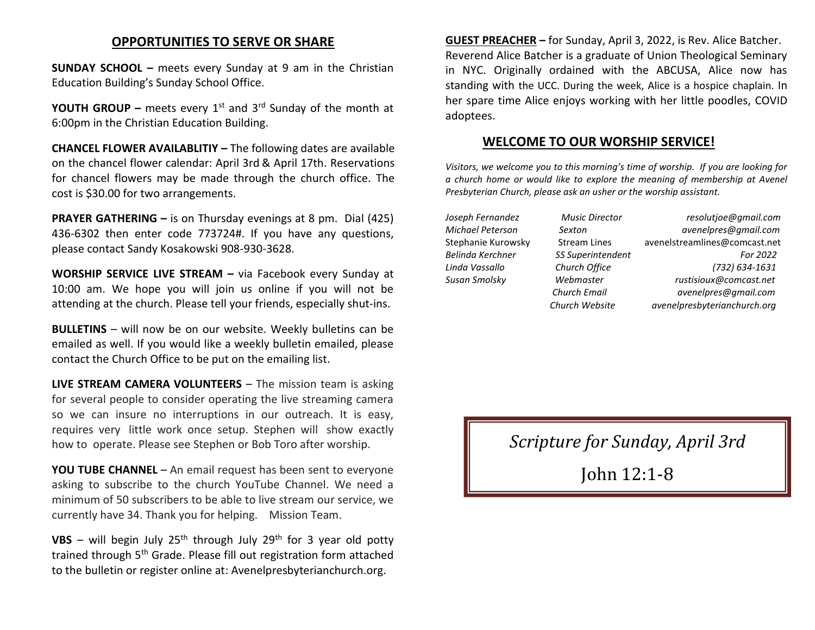# **OPPORTUNITIES TO SERVE OR SHARE**

**SUNDAY SCHOOL –** meets every Sunday at 9 am in the Christian Education Building's Sunday School Office.

**YOUTH GROUP** – meets every 1<sup>st</sup> and 3<sup>rd</sup> Sunday of the month at 6:00pm in the Christian Education Building.

**CHANCEL FLOWER AVAILABLITIY –** The following dates are available on the chancel flower calendar: April 3rd & April 17th. Reservations for chancel flowers may be made through the church office. The cost is \$30.00 for two arrangements.

**PRAYER GATHERING –** is on Thursday evenings at 8 pm. Dial (425) 436-6302 then enter code 773724#. If you have any questions, please contact Sandy Kosakowski 908-930-3628.

**WORSHIP SERVICE LIVE STREAM –** via Facebook every Sunday at 10:00 am. We hope you will join us online if you will not be attending at the church. Please tell your friends, especially shut-ins.

**BULLETINS** – will now be on our website. Weekly bulletins can be emailed as well. If you would like a weekly bulletin emailed, please contact the Church Office to be put on the emailing list.

**LIVE STREAM CAMERA VOLUNTEERS** – The mission team is asking for several people to consider operating the live streaming camera so we can insure no interruptions in our outreach. It is easy, requires very little work once setup. Stephen will show exactly how to operate. Please see Stephen or Bob Toro after worship.

**YOU TUBE CHANNEL** – An email request has been sent to everyone asking to subscribe to the church YouTube Channel. We need a minimum of 50 subscribers to be able to live stream our service, we currently have 34. Thank you for helping. Mission Team.

**VBS** – will begin July  $25<sup>th</sup>$  through July  $29<sup>th</sup>$  for 3 year old potty trained through 5<sup>th</sup> Grade. Please fill out registration form attached to the bulletin or register online at: Avenelpresbyterianchurch.org.

**GUEST PREACHER –** for Sunday, April 3, 2022, is Rev. Alice Batcher. Reverend Alice Batcher is a graduate of Union Theological Seminary in NYC. Originally ordained with the ABCUSA, Alice now has standing with the UCC. During the week, Alice is a hospice chaplain. In her spare time Alice enjoys working with her little poodles, COVID adoptees.

#### **WELCOME TO OUR WORSHIP SERVICE!**

*Visitors, we welcome you to this morning's time of worship. If you are looking for a church home or would like to explore the meaning of membership at Avenel Presbyterian Church, please ask an usher or the worship assistant.* 

*Joseph Fernandez Music Director resolutjoe@gmail.com Michael Peterson Sexton avenelpres@gmail.com* Stephanie Kurowsky Stream Lines [avenelstreamlines@comcast.net](mailto:avenelstreamlines@comcast.net) *Belinda Kerchner SS Superintendent For 2022 Linda Vassallo Church Office (732) 634-1631 Susan Smolsky Webmaster rustisioux@comcast.net Church Email avenelpres@gmail.com Church Website avenelpresbyterianchurch.org*

*Scripture for Sunday, April 3rd*

John 12:1-8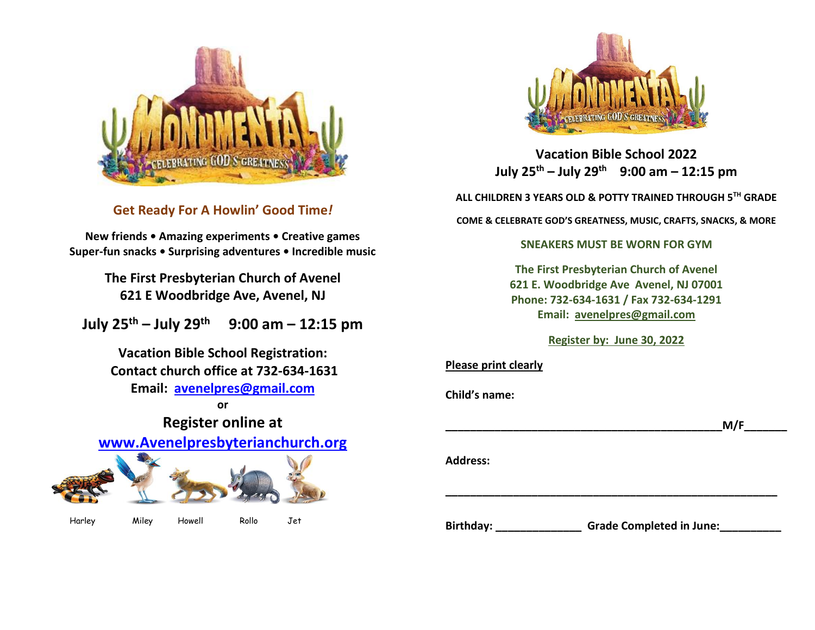

**Get Ready For A Howlin' Good Time***!*

**New friends • Amazing experiments • Creative games Super-fun snacks • Surprising adventures • Incredible music**

> **The First Presbyterian Church of Avenel 621 E Woodbridge Ave, Avenel, NJ**

**July 25th – July 29th 9:00 am – 12:15 pm**

**Vacation Bible School Registration: Contact church office at 732-634-1631 Email: [avenelpres@gmail.com](mailto:avenelpres@gmail.com)**

**or Register online at [www.Avenelpresbyterianchurch.org](http://www.avenelpresbyterianchurch.org/)**

Harley Miley Howell Rollo Jet



**Vacation Bible School 2022 July 25th – July 29th 9:00 am – 12:15 pm**

**ALL CHILDREN 3 YEARS OLD & POTTY TRAINED THROUGH 5 TH GRADE**

**COME & CELEBRATE GOD'S GREATNESS, MUSIC, CRAFTS, SNACKS, & MORE**

#### **SNEAKERS MUST BE WORN FOR GYM**

**The First Presbyterian Church of Avenel 621 E. Woodbridge Ave Avenel, NJ 07001 Phone: 732-634-1631 / Fax 732-634-1291 Email: [avenelpres@gmail.com](mailto:avenelpres@gmail.com)**

#### **Register by: June 30, 2022**

| <b>Please print clearly</b> |                                 |
|-----------------------------|---------------------------------|
| Child's name:               |                                 |
|                             | M/F                             |
| <b>Address:</b>             |                                 |
| <b>Birthday:</b>            | <b>Grade Completed in June:</b> |